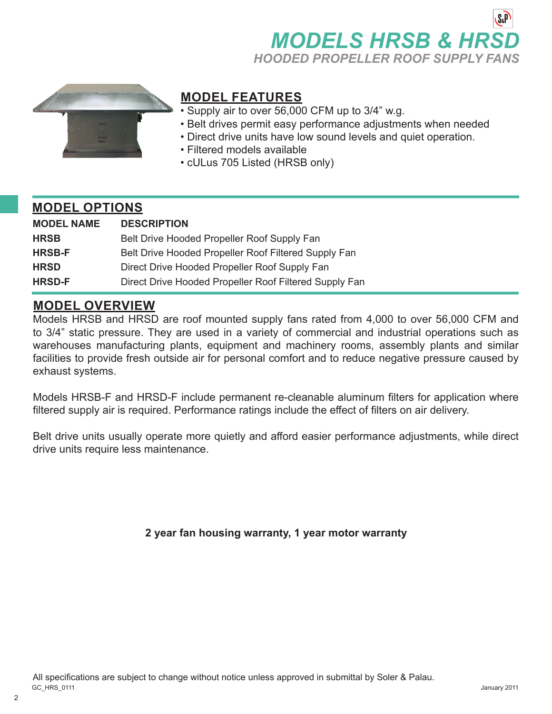



## **MODEL FEATURES**

- Supply air to over 56,000 CFM up to 3/4" w.g.
- Belt drives permit easy performance adjustments when needed
- Direct drive units have low sound levels and quiet operation.
- Filtered models available
- cULus 705 Listed (HRSB only)

#### **MODEL OPTIONS**

| <b>MODEL NAME</b> | <b>DESCRIPTION</b>                                     |
|-------------------|--------------------------------------------------------|
| <b>HRSB</b>       | Belt Drive Hooded Propeller Roof Supply Fan            |
| <b>HRSB-F</b>     | Belt Drive Hooded Propeller Roof Filtered Supply Fan   |
| <b>HRSD</b>       | Direct Drive Hooded Propeller Roof Supply Fan          |
| <b>HRSD-F</b>     | Direct Drive Hooded Propeller Roof Filtered Supply Fan |

### **MODEL OVERVIEW**

Models HRSB and HRSD are roof mounted supply fans rated from 4,000 to over 56,000 CFM and to 3/4" static pressure. They are used in a variety of commercial and industrial operations such as warehouses manufacturing plants, equipment and machinery rooms, assembly plants and similar facilities to provide fresh outside air for personal comfort and to reduce negative pressure caused by exhaust systems.

Models HRSB-F and HRSD-F include permanent re-cleanable aluminum filters for application where filtered supply air is required. Performance ratings include the effect of filters on air delivery.

Belt drive units usually operate more quietly and afford easier performance adjustments, while direct drive units require less maintenance.

**2 year fan housing warranty, 1 year motor warranty**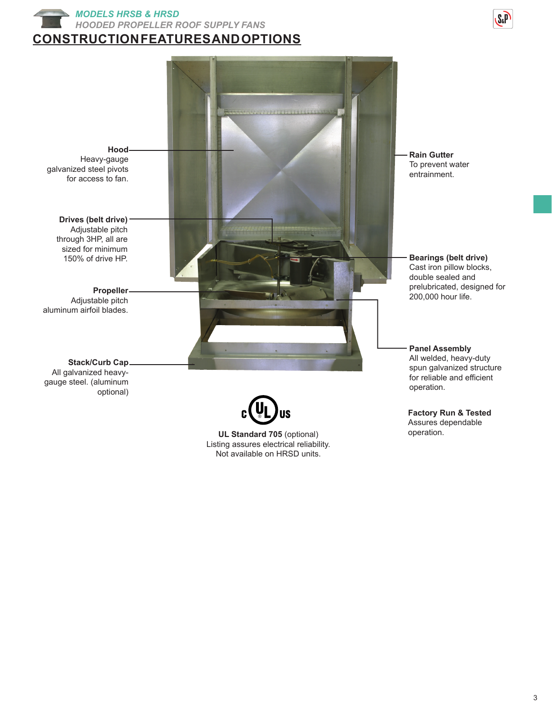





**UL Standard 705** (optional) Listing assures electrical reliability. Not available on HRSD units.

spun galvanized structure for reliable and efficient

Assures dependable operation.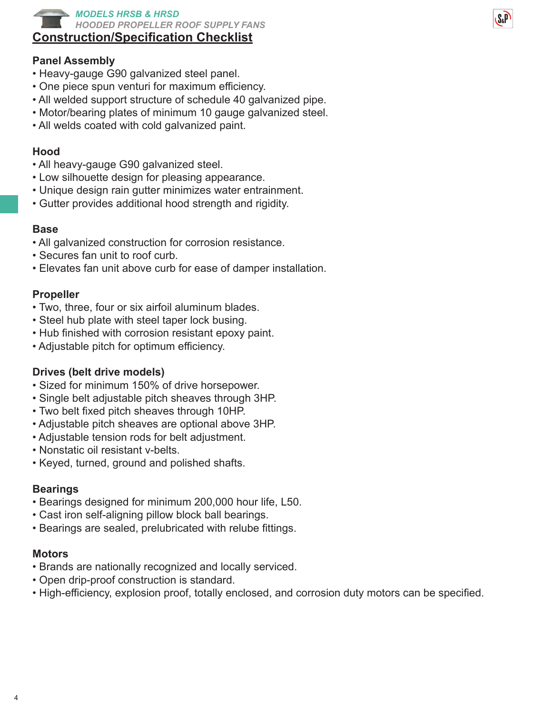

## **Construction/Specification Checklist**

#### **Panel Assembly**

- Heavy-gauge G90 galvanized steel panel.
- One piece spun venturi for maximum efficiency.
- All welded support structure of schedule 40 galvanized pipe.
- Motor/bearing plates of minimum 10 gauge galvanized steel.
- All welds coated with cold galvanized paint.

#### **Hood**

- All heavy-gauge G90 galvanized steel.
- Low silhouette design for pleasing appearance.
- Unique design rain gutter minimizes water entrainment.
- Gutter provides additional hood strength and rigidity.

#### **Base**

- All galvanized construction for corrosion resistance.
- Secures fan unit to roof curb.
- Elevates fan unit above curb for ease of damper installation.

#### **Propeller**

- Two, three, four or six airfoil aluminum blades.
- Steel hub plate with steel taper lock busing.
- Hub finished with corrosion resistant epoxy paint.
- Adjustable pitch for optimum efficiency.

#### **Drives (belt drive models)**

- Sized for minimum 150% of drive horsepower.
- Single belt adjustable pitch sheaves through 3HP.
- Two belt fixed pitch sheaves through 10HP.
- Adjustable pitch sheaves are optional above 3HP.
- Adjustable tension rods for belt adjustment.
- Nonstatic oil resistant v-belts.
- Keyed, turned, ground and polished shafts.

#### **Bearings**

- Bearings designed for minimum 200,000 hour life, L50.
- Cast iron self-aligning pillow block ball bearings.
- Bearings are sealed, prelubricated with relube fittings.

#### **Motors**

- Brands are nationally recognized and locally serviced.
- Open drip-proof construction is standard.
- High-efficiency, explosion proof, totally enclosed, and corrosion duty motors can be specified.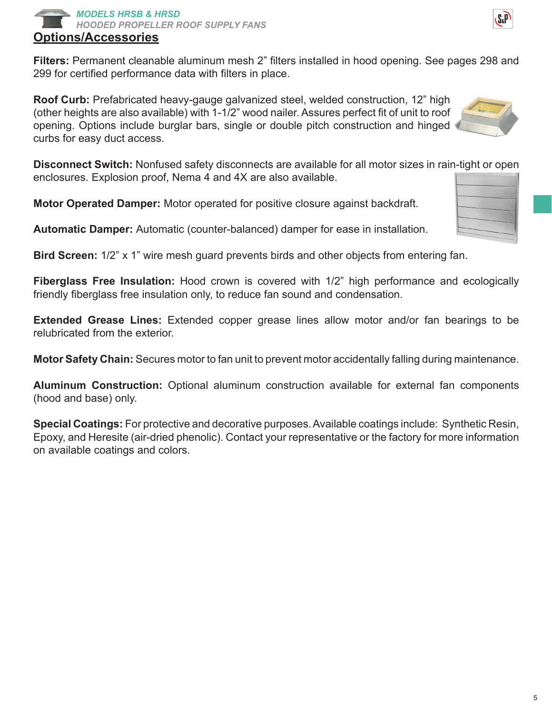#### **Options/Accessories** *MODELS HRSB & HRSD HOODED PROPELLER ROOF SUPPLY FANS*

**Filters:** Permanent cleanable aluminum mesh 2" filters installed in hood opening. See pages 298 and 299 for certified performance data with filters in place.

**Roof Curb:** Prefabricated heavy-gauge galvanized steel, welded construction, 12" high (other heights are also available) with 1-1/2" wood nailer. Assures perfect fit of unit to roof opening. Options include burglar bars, single or double pitch construction and hinged curbs for easy duct access.

**Disconnect Switch:** Nonfused safety disconnects are available for all motor sizes in rain-tight or open enclosures. Explosion proof, Nema 4 and 4X are also available.

**Motor Operated Damper:** Motor operated for positive closure against backdraft.

**Automatic Damper:** Automatic (counter-balanced) damper for ease in installation.

**Bird Screen:** 1/2" x 1" wire mesh guard prevents birds and other objects from entering fan.

**Fiberglass Free Insulation:** Hood crown is covered with 1/2" high performance and ecologically friendly fiberglass free insulation only, to reduce fan sound and condensation.

**Extended Grease Lines:** Extended copper grease lines allow motor and/or fan bearings to be relubricated from the exterior.

**Motor Safety Chain:** Secures motor to fan unit to prevent motor accidentally falling during maintenance.

**Aluminum Construction:** Optional aluminum construction available for external fan components (hood and base) only.

**Special Coatings:** For protective and decorative purposes. Available coatings include: Synthetic Resin, Epoxy, and Heresite (air-dried phenolic). Contact your representative or the factory for more information on available coatings and colors.





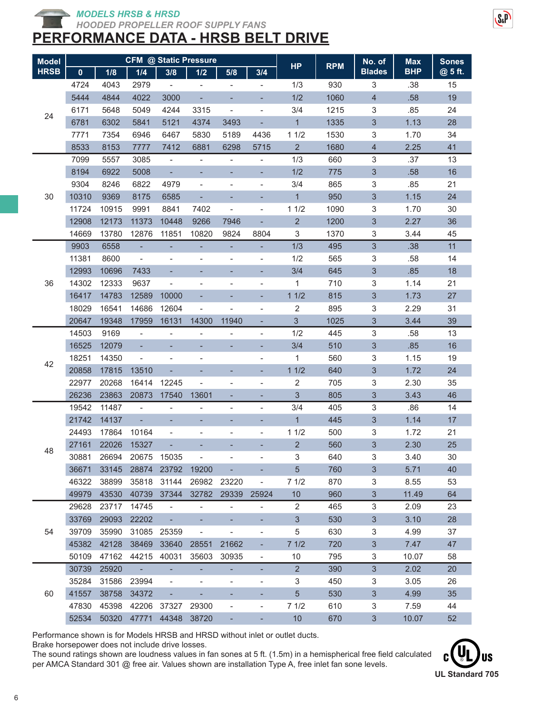*HOODED PROPELLER ROOF SUPPLY FANS*

# **PERFORMANCE DATA - HRSB BELT DRIVE**

| <b>Model</b> |             |       |                          |                              | <b>CFM @ Static Pressure</b> |                              | <b>HP</b>                    | <b>RPM</b>     | No. of | <b>Max</b>                | <b>Sones</b> |         |
|--------------|-------------|-------|--------------------------|------------------------------|------------------------------|------------------------------|------------------------------|----------------|--------|---------------------------|--------------|---------|
| <b>HRSB</b>  | $\mathbf 0$ | 1/8   | 1/4                      | 3/8                          | 1/2                          | 5/8                          | 3/4                          |                |        | <b>Blades</b>             | <b>BHP</b>   | @ 5 ft. |
|              | 4724        | 4043  | 2979                     | $\overline{\phantom{a}}$     |                              |                              | $\overline{\phantom{0}}$     | 1/3            | 930    | 3                         | .38          | 15      |
|              | 5444        | 4844  | 4022                     | 3000                         | ٠                            |                              |                              | 1/2            | 1060   | 4                         | .58          | 19      |
| 24           | 6171        | 5648  | 5049                     | 4244                         | 3315                         | $\overline{\phantom{0}}$     | $\qquad \qquad \blacksquare$ | 3/4            | 1215   | 3                         | .85          | 24      |
|              | 6781        | 6302  | 5841                     | 5121                         | 4374                         | 3493                         |                              | $\overline{1}$ | 1335   | 3                         | 1.13         | 28      |
|              | 7771        | 7354  | 6946                     | 6467                         | 5830                         | 5189                         | 4436                         | 11/2           | 1530   | 3                         | 1.70         | 34      |
|              | 8533        | 8153  | 7777                     | 7412                         | 6881                         | 6298                         | 5715                         | $\overline{2}$ | 1680   | 4                         | 2.25         | 41      |
|              | 7099        | 5557  | 3085                     | $\overline{\phantom{a}}$     | $\blacksquare$               | $\overline{\phantom{0}}$     | $\blacksquare$               | 1/3            | 660    | 3                         | .37          | 13      |
|              | 8194        | 6922  | 5008                     | $\overline{\phantom{a}}$     |                              |                              | ÷,                           | 1/2            | 775    | $\sqrt{3}$                | .58          | 16      |
|              | 9304        | 8246  | 6822                     | 4979                         | $\overline{\phantom{0}}$     | -                            | $\overline{\phantom{0}}$     | 3/4            | 865    | 3                         | .85          | 21      |
| 30           | 10310       | 9369  | 8175                     | 6585                         | $\blacksquare$               |                              |                              | $\mathbf{1}$   | 950    | 3                         | 1.15         | 24      |
|              | 11724       | 10915 | 9991                     | 8841                         | 7402                         | $\overline{\phantom{0}}$     | $\overline{\phantom{0}}$     | 11/2           | 1090   | 3                         | 1.70         | 30      |
|              | 12908       | 12173 | 11373                    | 10448                        | 9266                         | 7946                         | ÷,                           | $\overline{2}$ | 1200   | $\sqrt{3}$                | 2.27         | 36      |
|              | 14669       | 13780 | 12876                    | 11851                        | 10820                        | 9824                         | 8804                         | 3              | 1370   | 3                         | 3.44         | 45      |
|              | 9903        | 6558  | $\blacksquare$           |                              |                              | ÷,                           | ÷,                           | 1/3            | 495    | $\mathbf{3}$              | .38          | 11      |
|              | 11381       | 8600  | $\overline{\phantom{a}}$ |                              | $\qquad \qquad \blacksquare$ |                              | $\qquad \qquad \blacksquare$ | 1/2            | 565    | 3                         | .58          | 14      |
|              | 12993       | 10696 | 7433                     |                              |                              |                              |                              | 3/4            | 645    | $\mathfrak{S}$            | .85          | 18      |
| 36           | 14302       | 12333 | 9637                     | $\overline{\phantom{0}}$     | $\overline{\phantom{a}}$     | $\overline{\phantom{0}}$     | $\overline{\phantom{0}}$     | 1              | 710    | 3                         | 1.14         | 21      |
|              | 16417       | 14783 | 12589                    | 10000                        |                              |                              |                              | 11/2           | 815    | 3                         | 1.73         | 27      |
|              | 18029       | 16541 | 14686                    | 12604                        | $\overline{\phantom{a}}$     |                              | $\qquad \qquad \blacksquare$ | 2              | 895    | 3                         | 2.29         | 31      |
|              | 20647       | 19348 | 17959                    | 16131                        | 14300                        | 11940                        | ÷                            | 3              | 1025   | 3                         | 3.44         | 39      |
|              | 14503       | 9169  | $\blacksquare$           | $\overline{\phantom{0}}$     | $\overline{\phantom{0}}$     |                              | $\blacksquare$               | 1/2            | 445    | 3                         | .58          | 13      |
|              | 16525       | 12079 | $\overline{\phantom{a}}$ |                              |                              |                              | ÷,                           | 3/4            | 510    | $\ensuremath{\mathsf{3}}$ | .85          | 16      |
|              | 18251       | 14350 | $\overline{\phantom{a}}$ | $\overline{\phantom{a}}$     | $\overline{\phantom{a}}$     |                              | $\qquad \qquad \blacksquare$ | 1              | 560    | 3                         | 1.15         | 19      |
| 42           | 20858       | 17815 | 13510                    |                              |                              |                              | ٠                            | 11/2           | 640    | $\sqrt{3}$                | 1.72         | 24      |
|              | 22977       | 20268 | 16414                    | 12245                        | $\overline{\phantom{0}}$     | $\overline{a}$               | $\qquad \qquad \blacksquare$ | 2              | 705    | 3                         | 2.30         | 35      |
|              | 26236       | 23863 | 20873                    | 17540                        | 13601                        | ۰                            | ۰                            | 3              | 805    | $\ensuremath{\mathsf{3}}$ | 3.43         | 46      |
|              | 19542       | 11487 | $\overline{\phantom{a}}$ | $\overline{\phantom{a}}$     | $\overline{\phantom{a}}$     | $\qquad \qquad \blacksquare$ | $\overline{\phantom{0}}$     | 3/4            | 405    | 3                         | .86          | 14      |
|              | 21742       | 14137 | $\blacksquare$           | ÷,                           | ÷,                           | ٠                            | Ξ                            | $\overline{1}$ | 445    | 3                         | 1.14         | 17      |
|              | 24493       | 17864 | 10164                    |                              |                              |                              | $\overline{\phantom{0}}$     | 11/2           | 500    | 3                         | 1.72         | 21      |
|              | 27161       | 22026 | 15327                    |                              |                              |                              |                              | $\overline{2}$ | 560    | $\sqrt{3}$                | 2.30         | 25      |
| 48           | 30881       | 26694 | 20675                    | 15035                        |                              |                              |                              | 3              | 640    | 3                         | 3.40         | 30      |
|              | 36671       | 33145 |                          | 28874 23792                  | 19200                        |                              |                              | 5 <sup>5</sup> | 760    | 3                         | 5.71         | 40      |
|              | 46322       | 38899 | 35818                    | 31144                        | 26982                        | 23220                        | $\overline{\phantom{a}}$     | 71/2           | 870    | 3                         | 8.55         | 53      |
|              | 49979       | 43530 | 40739                    | 37344                        | 32782                        | 29339                        | 25924                        | 10             | 960    | 3                         | 11.49        | 64      |
|              | 29628       | 23717 | 14745                    | $\overline{\phantom{a}}$     | $\overline{\phantom{0}}$     | $\overline{\phantom{0}}$     | $\frac{1}{2}$                | 2              | 465    | 3                         | 2.09         | 23      |
|              | 33769       | 29093 | 22202                    |                              |                              |                              |                              | $\mathfrak{S}$ | 530    | $\mathfrak{S}$            | 3.10         | 28      |
| 54           | 39709       | 35990 | 31085                    | 25359                        | $\overline{\phantom{a}}$     | $\overline{\phantom{a}}$     | $\qquad \qquad \blacksquare$ | 5              | 630    | 3                         | 4.99         | 37      |
|              | 45382       | 42128 | 38469                    | 33640                        | 28551                        | 21662                        |                              | 71/2           | 720    | 3                         | 7.47         | 47      |
|              | 50109       | 47162 | 44215                    | 40031                        | 35603                        | 30935                        |                              | 10             | 795    | 3                         | 10.07        | 58      |
|              | 30739       | 25920 | $\sim 10^{-1}$           | ÷                            | ÷                            | Ξ                            |                              | $\overline{2}$ | 390    | $\mathfrak{S}$            | 2.02         | 20      |
|              | 35284       | 31586 | 23994                    | $\qquad \qquad \blacksquare$ | $\overline{\phantom{a}}$     | $\overline{\phantom{0}}$     |                              | 3              | 450    | 3                         | 3.05         | 26      |
| 60           | 41557       | 38758 | 34372                    |                              |                              |                              |                              | $5\phantom{.}$ | 530    | 3                         | 4.99         | 35      |
|              | 47830       | 45398 | 42206                    | 37327                        | 29300                        | $\qquad \qquad \blacksquare$ | $\qquad \qquad \blacksquare$ | 71/2           | 610    | 3                         | 7.59         | 44      |
|              | 52534       | 50320 | 47771                    | 44348 38720                  |                              |                              |                              | 10             | 670    | $\mathfrak{S}$            | 10.07        | 52      |

Performance shown is for Models HRSB and HRSD without inlet or outlet ducts.

Brake horsepower does not include drive losses.

The sound ratings shown are loudness values in fan sones at 5 ft. (1.5m) in a hemispherical free field calculated per AMCA Standard 301 @ free air. Values shown are installation Type A, free inlet fan sone levels.



SeP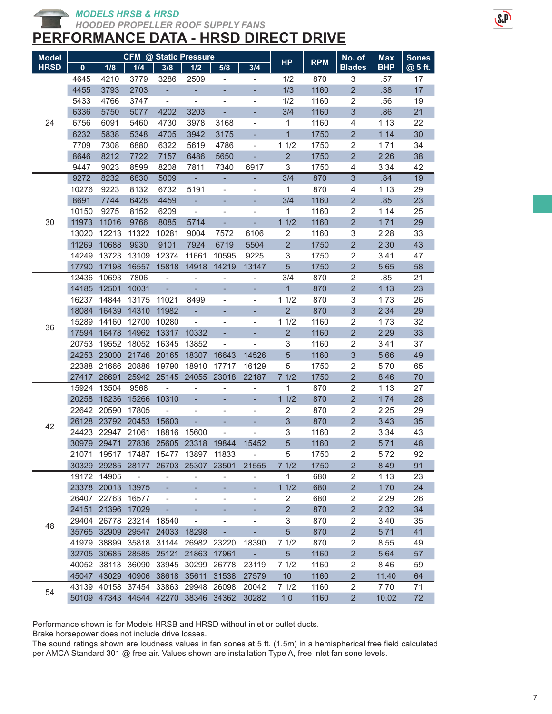*MODELS HRSB & HRSD*

*HOODED PROPELLER ROOF SUPPLY FANS*

# **PERFORMANCE DATA - HRSD DIRECT DRIVE**

| <b>Model</b> | <b>CFM @ Static Pressure</b> |                                     |                          |                          |                          |                                           |                          |                 |            | No. of         | <b>Max</b> | <b>Sones</b> |
|--------------|------------------------------|-------------------------------------|--------------------------|--------------------------|--------------------------|-------------------------------------------|--------------------------|-----------------|------------|----------------|------------|--------------|
| <b>HRSD</b>  | $\mathbf{0}$                 | 1/8                                 | 1/4                      | 3/8                      | 1/2                      | 5/8                                       | 3/4                      | <b>HP</b>       | <b>RPM</b> | <b>Blades</b>  | <b>BHP</b> | @ 5 ft.      |
|              | 4645                         | 4210                                | 3779                     | 3286                     | 2509                     | $\overline{\phantom{a}}$                  | $\overline{\phantom{0}}$ | 1/2             | 870        | 3              | .57        | 17           |
|              | 4455                         | 3793                                | 2703                     | ÷,                       | ۰                        |                                           |                          | 1/3             | 1160       | $\overline{2}$ | .38        | 17           |
|              | 5433                         | 4766                                | 3747                     | $\Box$                   | $\frac{1}{2}$            | $\overline{\phantom{0}}$                  | $\blacksquare$           | 1/2             | 1160       | $\sqrt{2}$     | .56        | 19           |
|              | 6336                         | 5750                                | 5077                     | 4202                     | 3203                     | ÷                                         | ÷,                       | 3/4             | 1160       | 3              | .86        | 21           |
| 24           | 6756                         | 6091                                | 5460                     | 4730                     | 3978                     | 3168                                      | $\overline{\phantom{0}}$ | 1               | 1160       | 4              | 1.13       | 22           |
|              | 6232                         | 5838                                | 5348                     | 4705                     | 3942                     | 3175                                      |                          | $\mathbf{1}$    | 1750       | $\overline{2}$ | 1.14       | 30           |
|              | 7709                         | 7308                                | 6880                     | 6322                     | 5619                     | 4786                                      | $\overline{\phantom{0}}$ | 11/2            | 1750       | 2              | 1.71       | 34           |
|              | 8646                         | 8212                                | 7722                     | 7157                     | 6486                     | 5650                                      | ÷,                       | $\overline{2}$  | 1750       | $\overline{2}$ | 2.26       | 38           |
|              | 9447                         | 9023                                | 8599                     | 8208                     | 7811                     | 7340                                      | 6917                     | 3               | 1750       | 4              | 3.34       | 42           |
|              | 9272                         | 8232                                | 6830                     | 5009                     | $\blacksquare$           | ÷,                                        | L.                       | 3/4             | 870        | $\overline{3}$ | .84        | 19           |
|              | 10276                        | 9223                                | 8132                     | 6732                     | 5191                     | -                                         | $\overline{\phantom{0}}$ | $\mathbf{1}$    | 870        | 4              | 1.13       | 29           |
|              | 8691                         | 7744                                | 6428                     | 4459                     | ÷,                       |                                           |                          | 3/4             | 1160       | $\overline{c}$ | .85        | 23           |
|              | 10150                        | 9275                                | 8152                     | 6209                     | $\overline{\phantom{a}}$ | $\overline{\phantom{0}}$                  | L,                       | 1               | 1160       | 2              | 1.14       | 25           |
| 30           | 11973                        | 11016                               | 9766                     | 8085                     | 5714                     |                                           | ÷,                       | 11/2            | 1160       | $\overline{2}$ | 1.71       | 29           |
|              | 13020                        | 12213                               | 11322                    | 10281                    | 9004                     | 7572                                      | 6106                     | $\overline{c}$  | 1160       | 3              | 2.28       | 33           |
|              | 11269                        | 10688                               | 9930                     | 9101                     | 7924                     | 6719                                      | 5504                     | $\overline{2}$  | 1750       | $\overline{2}$ | 2.30       | 43           |
|              | 14249                        | 13723                               | 13109                    | 12374                    | 11661                    | 10595                                     | 9225                     | 3               | 1750       | $\overline{2}$ | 3.41       | 47           |
|              | 17790                        | 17198                               | 16557                    | 15818                    | 14918                    | 14219                                     | 13147                    | 5               | 1750       | $\overline{2}$ | 5.65       | 58           |
|              | 12436                        | 10693                               | 7806                     | $\overline{\phantom{0}}$ | $\qquad \qquad -$        | $\overline{\phantom{0}}$                  | $\overline{\phantom{0}}$ | 3/4             | 870        | $\overline{2}$ | .85        | 21           |
|              | 14185                        | 12501                               | 10031                    | ÷,                       | ÷,                       |                                           | ٠                        | $\mathbf{1}$    | 870        | $\overline{2}$ | 1.13       | 23           |
|              | 16237                        | 14844                               | 13175                    | 11021                    | 8499                     | $\overline{\phantom{0}}$                  | $\blacksquare$           | 11/2            | 870        | 3              | 1.73       | 26           |
|              | 18084                        | 16439                               | 14310                    | 11982                    | ÷,                       |                                           | ÷,                       | $\overline{2}$  | 870        | 3              | 2.34       | 29           |
| 36           | 15289                        | 14160                               | 12700                    | 10280                    | $\blacksquare$           | $\overline{\phantom{0}}$                  | $\blacksquare$           | 11/2            | 1160       | 2              | 1.73       | 32           |
|              | 17594                        | 16478                               | 14962                    |                          | 13317 10332              |                                           | ÷,                       | $\overline{2}$  | 1160       | $\overline{2}$ | 2.29       | 33           |
|              | 20753                        | 19552                               | 18052                    | 16345                    | 13852                    | $\overline{\phantom{0}}$                  | $\overline{\phantom{0}}$ | 3               | 1160       | 2              | 3.41       | 37           |
|              | 24253                        | 23000                               | 21746                    | 20165                    | 18307                    | 16643                                     | 14526                    | 5               | 1160       | 3              | 5.66       | 49           |
|              | 22388                        | 21666                               | 20886                    | 19790                    | 18910                    | 17717                                     | 16129                    | 5               | 1750       | $\sqrt{2}$     | 5.70       | 65           |
|              | 27417                        | 26691                               | 25942                    | 25145                    | 24055                    | 23018                                     | 22187                    | 71/2            | 1750       | $\overline{2}$ | 8.46       | 70           |
|              | 15924                        | 13504                               | 9568                     | $\blacksquare$           | $\frac{1}{2}$            | $\blacksquare$                            | $\overline{\phantom{0}}$ | 1               | 870        | $\overline{2}$ | 1.13       | 27           |
|              | 20258                        | 18236                               | 15266                    | 10310                    |                          |                                           | ÷,                       | 11/2            | 870        | $\overline{2}$ | 1.74       | 28           |
|              | 22642                        | 20590                               | 17805                    | $\overline{\phantom{0}}$ | $\overline{\phantom{0}}$ | $\overline{\phantom{0}}$                  | $\overline{\phantom{0}}$ | 2               | 870        | $\overline{2}$ | 2.25       | 29           |
| 42           |                              | 26128 23792                         | 20453                    | 15603                    | ÷,                       |                                           |                          | 3               | 870        | $\overline{2}$ | 3.43       | 35           |
|              |                              | 24423 22947                         | 21061                    | 18816                    | 15600                    | $\overline{\phantom{0}}$                  |                          | 3               | 1160       | $\sqrt{2}$     | 3.34       | 43           |
|              |                              | 30979 29471                         |                          | 27836 25605 23318        |                          | 19844                                     | 15452                    | 5               | 1160       | $\overline{2}$ | 5.71       | 48           |
|              |                              | 21071 19517 17487 15477 13897 11833 |                          |                          |                          |                                           |                          | 5               | 1750       | $\sqrt{2}$     | 5.72       | 92           |
|              |                              | 30329 29285                         | 28177                    | 26703                    | 25307                    | 23501                                     | 21555                    | 71/2            | 1750       | $\overline{c}$ | 8.49       | 91           |
|              |                              | 19172 14905                         | $\overline{\phantom{a}}$ | $\overline{\phantom{0}}$ | -                        | -                                         |                          | 1               | 680        | $\overline{2}$ | 1.13       | 23           |
|              |                              | 23378 20013                         | 13975                    |                          | ÷,                       |                                           | ÷,                       | 11/2            | 680        | $\overline{c}$ | 1.70       | 24           |
|              |                              | 26407 22763                         | 16577                    |                          | $\overline{\phantom{0}}$ | $\overline{\phantom{0}}$                  | $\overline{\phantom{0}}$ | 2               | 680        | $\overline{c}$ | 2.29       | 26           |
|              |                              | 24151 21396                         | 17029                    | ÷,                       | -                        |                                           |                          | $\overline{2}$  | 870        | $\overline{c}$ | 2.32       | 34           |
| 48           |                              | 29404 26778 23214                   |                          | 18540                    | $\qquad \qquad -$        | $\overline{\phantom{0}}$                  | $\overline{\phantom{0}}$ | 3               | 870        | 2              | 3.40       | 35           |
|              |                              | 35765 32909                         |                          | 29547 24033 18298        |                          | ۳                                         | ۰                        | 5               | 870        | $\overline{2}$ | 5.71       | 41           |
|              |                              | 41979 38899                         | 35818                    | 31144                    | 26982 23220              |                                           | 18390                    | 71/2            | 870        | 2              | 8.55       | 49           |
|              |                              | 32705 30685                         | 28585                    | 25121                    | 21863                    | 17961                                     | ÷,                       | 5 <sup>5</sup>  | 1160       | $\overline{2}$ | 5.64       | 57           |
|              |                              | 40052 38113                         | 36090                    |                          | 33945 30299              | 26778                                     | 23119                    | 71/2            | 1160       | 2              | 8.46       | 59           |
|              |                              | 45047 43029                         | 40906                    |                          | 38618 35611              | 31538                                     | 27579                    | 10 <sup>1</sup> | 1160       | $\overline{2}$ | 11.40      | 64           |
| 54           |                              | 43139 40158 37454 33863 29948 26098 |                          |                          |                          |                                           | 20042                    | 71/2            | 1160       | $\overline{2}$ | 7.70       | 71           |
|              |                              |                                     |                          |                          |                          | 50109 47343 44544 42270 38346 34362 30282 |                          | 10              | 1160       | 2 <sup>1</sup> | 10.02      | 72           |

Performance shown is for Models HRSB and HRSD without inlet or outlet ducts.

Brake horsepower does not include drive losses.

The sound ratings shown are loudness values in fan sones at 5 ft. (1.5m) in a hemispherical free field calculated per AMCA Standard 301 @ free air. Values shown are installation Type A, free inlet fan sone levels.

 $S_{x}P$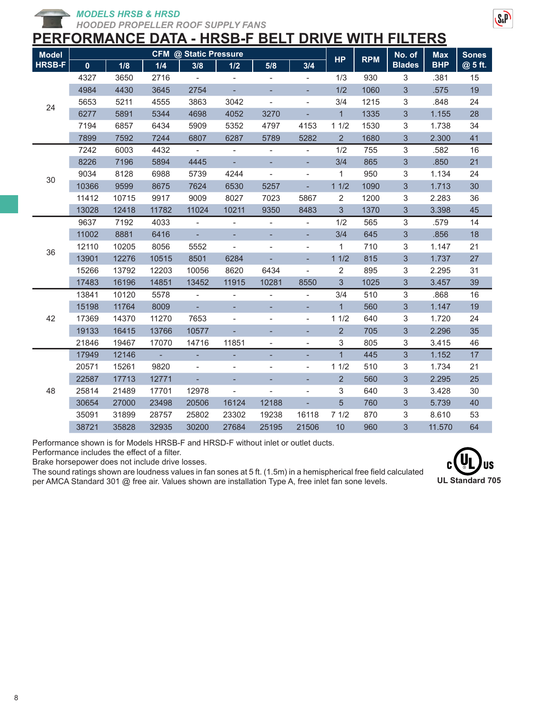*MODELS HRSB & HRSD*

*HOODED PROPELLER ROOF SUPPLY FANS*

# **PERFORMANCE DATA - HRSB-F BELT DRIVE WITH FILTERS**

| <b>Model</b>  | <b>CFM @ Static Pressure</b> |       |       |                             |                              |                          |                              |                |            | No. of         | <b>Max</b> | <b>Sones</b> |
|---------------|------------------------------|-------|-------|-----------------------------|------------------------------|--------------------------|------------------------------|----------------|------------|----------------|------------|--------------|
| <b>HRSB-F</b> | $\mathbf{0}$                 | 1/8   | 1/4   | 3/8                         | 1/2                          | 5/8                      | 3/4                          | <b>HP</b>      | <b>RPM</b> | <b>Blades</b>  | <b>BHP</b> | @ 5 ft.      |
|               | 4327                         | 3650  | 2716  | $\overline{\phantom{a}}$    | $\blacksquare$               | $\overline{\phantom{a}}$ |                              | 1/3            | 930        | 3              | .381       | 15           |
|               | 4984                         | 4430  | 3645  | 2754                        |                              |                          | ÷.                           | 1/2            | 1060       | 3              | .575       | 19           |
| 24            | 5653                         | 5211  | 4555  | 3863                        | 3042                         |                          | $\qquad \qquad \blacksquare$ | 3/4            | 1215       | 3              | .848       | 24           |
|               | 6277                         | 5891  | 5344  | 4698                        | 4052                         | 3270                     |                              | $\overline{1}$ | 1335       | $\mathfrak{S}$ | 1.155      | 28           |
|               | 7194                         | 6857  | 6434  | 5909                        | 5352                         | 4797                     | 4153                         | 11/2           | 1530       | 3              | 1.738      | 34           |
|               | 7899                         | 7592  | 7244  | 6807                        | 6287                         | 5789                     | 5282                         | $\overline{2}$ | 1680       | 3              | 2.300      | 41           |
|               | 7242                         | 6003  | 4432  | $\blacksquare$              | $\overline{\phantom{a}}$     | $\overline{\phantom{a}}$ | $\overline{\phantom{a}}$     | 1/2            | 755        | $\sqrt{3}$     | .582       | 16           |
|               | 8226                         | 7196  | 5894  | 4445                        | $\Box$                       |                          |                              | 3/4            | 865        | 3              | .850       | 21           |
| 30            | 9034                         | 8128  | 6988  | 5739                        | 4244                         | $\overline{\phantom{0}}$ | $\overline{\phantom{a}}$     | 1              | 950        | $\sqrt{3}$     | 1.134      | 24           |
|               | 10366                        | 9599  | 8675  | 7624                        | 6530                         | 5257                     | ٠                            | 11/2           | 1090       | 3              | 1.713      | 30           |
|               | 11412                        | 10715 | 9917  | 9009                        | 8027                         | 7023                     | 5867                         | 2              | 1200       | 3              | 2.283      | 36           |
|               | 13028                        | 12418 | 11782 | 11024                       | 10211                        | 9350                     | 8483                         | 3              | 1370       | 3              | 3.398      | 45           |
|               | 9637                         | 7192  | 4033  | $\blacksquare$              | $\overline{\phantom{a}}$     | $\overline{\phantom{a}}$ | $\overline{\phantom{a}}$     | 1/2            | 565        | $\sqrt{3}$     | .579       | 14           |
|               | 11002                        | 8881  | 6416  | ÷,                          |                              |                          | Ξ                            | 3/4            | 645        | 3              | .856       | 18           |
| 36            | 12110                        | 10205 | 8056  | 5552                        | $\blacksquare$               |                          | $\overline{\phantom{a}}$     | 1              | 710        | 3              | 1.147      | 21           |
|               | 13901                        | 12276 | 10515 | 8501                        | 6284                         |                          | ٠                            | 11/2           | 815        | 3              | 1.737      | 27           |
|               | 15266                        | 13792 | 12203 | 10056                       | 8620                         | 6434                     | $\overline{\phantom{a}}$     | $\overline{2}$ | 895        | 3              | 2.295      | 31           |
|               | 17483                        | 16196 | 14851 | 13452                       | 11915                        | 10281                    | 8550                         | 3              | 1025       | 3              | 3.457      | 39           |
|               | 13841                        | 10120 | 5578  | $\overline{\phantom{a}}$    | $\overline{\phantom{a}}$     | $\overline{\phantom{a}}$ | $\blacksquare$               | 3/4            | 510        | $\sqrt{3}$     | .868       | 16           |
|               | 15198                        | 11764 | 8009  | $\mathcal{L}_{\mathcal{A}}$ |                              |                          |                              | $\mathbf{1}$   | 560        | 3              | 1.147      | 19           |
| 42            | 17369                        | 14370 | 11270 | 7653                        | $\blacksquare$               | $\overline{\phantom{a}}$ | $\overline{\phantom{a}}$     | 11/2           | 640        | 3              | 1.720      | 24           |
|               | 19133                        | 16415 | 13766 | 10577                       | ÷                            |                          |                              | $\overline{2}$ | 705        | 3              | 2.296      | 35           |
|               | 21846                        | 19467 | 17070 | 14716                       | 11851                        | $\overline{\phantom{a}}$ | $\overline{\phantom{a}}$     | 3              | 805        | 3              | 3.415      | 46           |
|               | 17949                        | 12146 | ÷,    | ÷,                          | ÷,                           | ÷,                       | ÷,                           | $\overline{1}$ | 445        | 3              | 1.152      | 17           |
|               | 20571                        | 15261 | 9820  | $\overline{\phantom{a}}$    | $\qquad \qquad \blacksquare$ |                          | $\overline{\phantom{a}}$     | 11/2           | 510        | 3              | 1.734      | 21           |
|               | 22587                        | 17713 | 12771 | $\overline{\phantom{a}}$    |                              |                          |                              | $\overline{2}$ | 560        | $\mathfrak{S}$ | 2.295      | 25           |
| 48            | 25814                        | 21489 | 17701 | 12978                       | $\blacksquare$               | $\frac{1}{2}$            | $\overline{\phantom{a}}$     | 3              | 640        | 3              | 3.428      | 30           |
|               | 30654                        | 27000 | 23498 | 20506                       | 16124                        | 12188                    | ÷.                           | 5              | 760        | 3              | 5.739      | 40           |
|               | 35091                        | 31899 | 28757 | 25802                       | 23302                        | 19238                    | 16118                        | 71/2           | 870        | 3              | 8.610      | 53           |
|               | 38721                        | 35828 | 32935 | 30200                       | 27684                        | 25195                    | 21506                        | 10             | 960        | 3              | 11.570     | 64           |

Performance shown is for Models HRSB-F and HRSD-F without inlet or outlet ducts.

Performance includes the effect of a filter.

Brake horsepower does not include drive losses.

The sound ratings shown are loudness values in fan sones at 5 ft. (1.5m) in a hemispherical free field calculated per AMCA Standard 301 @ free air. Values shown are installation Type A, free inlet fan sone levels.



 $S<sub>a</sub>P$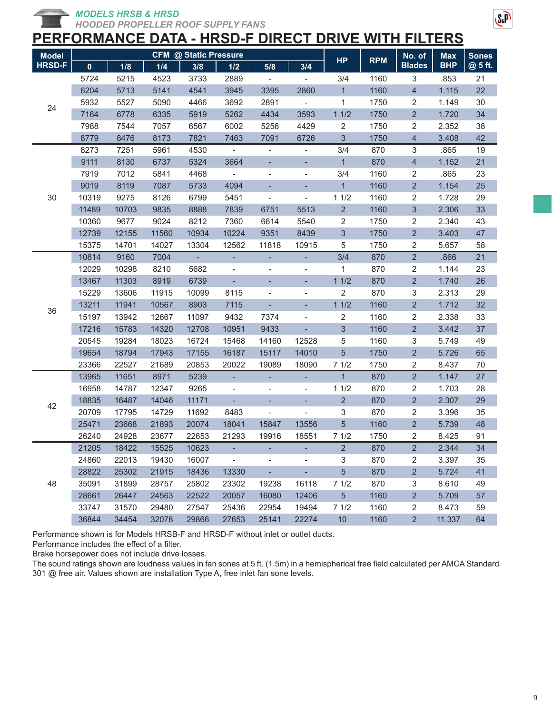*MODELS HRSB & HRSD*

*HOODED PROPELLER ROOF SUPPLY FANS*

# $S<sub>a</sub>P$

## **PERFORMANCE DATA - HRSD-F DIRECT DRIVE WITH FILTERS**

| <b>Model</b>  |             |       |       | <b>CFM @ Static Pressure</b> |                              |                          |                              |                         |            | No. of                   | <b>Max</b> | <b>Sones</b> |
|---------------|-------------|-------|-------|------------------------------|------------------------------|--------------------------|------------------------------|-------------------------|------------|--------------------------|------------|--------------|
| <b>HRSD-F</b> | $\mathbf 0$ | 1/8   | 1/4   | 3/8                          | 1/2                          | 5/8                      | 3/4                          | <b>HP</b>               | <b>RPM</b> | <b>Blades</b>            | <b>BHP</b> | @ 5 ft.      |
|               | 5724        | 5215  | 4523  | 3733                         | 2889                         |                          |                              | 3/4                     | 1160       | 3                        | .853       | 21           |
|               | 6204        | 5713  | 5141  | 4541                         | 3945                         | 3395                     | 2860                         | $\mathbf{1}$            | 1160       | $\overline{\mathcal{L}}$ | 1.115      | 22           |
|               | 5932        | 5527  | 5090  | 4466                         | 3692                         | 2891                     | $\overline{\phantom{a}}$     | 1                       | 1750       | 2                        | 1.149      | 30           |
| 24            | 7164        | 6778  | 6335  | 5919                         | 5262                         | 4434                     | 3593                         | 11/2                    | 1750       | $\overline{2}$           | 1.720      | 34           |
|               | 7988        | 7544  | 7057  | 6567                         | 6002                         | 5256                     | 4429                         | 2                       | 1750       | 2                        | 2.352      | 38           |
|               | 8779        | 8476  | 8173  | 7821                         | 7463                         | 7091                     | 6726                         | 3                       | 1750       | $\overline{4}$           | 3.408      | 42           |
|               | 8273        | 7251  | 5961  | 4530                         |                              | $\overline{\phantom{a}}$ |                              | 3/4                     | 870        | 3                        | .865       | 19           |
|               | 9111        | 8130  | 6737  | 5324                         | 3664                         |                          |                              | $\mathbf{1}$            | 870        | $\overline{4}$           | 1.152      | 21           |
|               | 7919        | 7012  | 5841  | 4468                         |                              | $\overline{\phantom{a}}$ |                              | 3/4                     | 1160       | $\sqrt{2}$               | .865       | 23           |
|               | 9019        | 8119  | 7087  | 5733                         | 4094                         |                          |                              | $\mathbf{1}$            | 1160       | $\overline{2}$           | 1.154      | 25           |
| 30            | 10319       | 9275  | 8126  | 6799                         | 5451                         | $\overline{\phantom{a}}$ | $\qquad \qquad \blacksquare$ | 11/2                    | 1160       | 2                        | 1.728      | 29           |
|               | 11489       | 10703 | 9835  | 8888                         | 7839                         | 6751                     | 5513                         | $\overline{2}$          | 1160       | 3                        | 2.306      | 33           |
|               | 10360       | 9677  | 9024  | 8212                         | 7360                         | 6614                     | 5540                         | $\overline{c}$          | 1750       | 2                        | 2.340      | 43           |
|               | 12739       | 12155 | 11560 | 10934                        | 10224                        | 9351                     | 8439                         | $\sqrt{3}$              | 1750       | $\overline{2}$           | 3.403      | 47           |
|               | 15375       | 14701 | 14027 | 13304                        | 12562                        | 11818                    | 10915                        | 5                       | 1750       | $\sqrt{2}$               | 5.657      | 58           |
|               | 10814       | 9160  | 7004  |                              | ÷,                           | ٠                        | ÷,                           | 3/4                     | 870        | $\overline{2}$           | .866       | 21           |
|               | 12029       | 10298 | 8210  | 5682                         | $\qquad \qquad \blacksquare$ | $\overline{\phantom{a}}$ | $\overline{\phantom{0}}$     | 1                       | 870        | 2                        | 1.144      | 23           |
|               | 13467       | 11303 | 8919  | 6739                         | ÷,                           |                          | ÷,                           | 11/2                    | 870        | $\overline{2}$           | 1.740      | 26           |
|               | 15229       | 13606 | 11915 | 10099                        | 8115                         | $\overline{\phantom{a}}$ | -                            | $\overline{\mathbf{c}}$ | 870        | 3                        | 2.313      | 29           |
| 36            | 13211       | 11941 | 10567 | 8903                         | 7115                         |                          |                              | 11/2                    | 1160       | $\overline{2}$           | 1.712      | 32           |
|               | 15197       | 13942 | 12667 | 11097                        | 9432                         | 7374                     | $\qquad \qquad \blacksquare$ | $\overline{2}$          | 1160       | 2                        | 2.338      | 33           |
|               | 17216       | 15783 | 14320 | 12708                        | 10951                        | 9433                     |                              | $\mathfrak{S}$          | 1160       | $\overline{2}$           | 3.442      | 37           |
|               | 20545       | 19284 | 18023 | 16724                        | 15468                        | 14160                    | 12528                        | 5                       | 1160       | 3                        | 5.749      | 49           |
|               | 19654       | 18794 | 17943 | 17155                        | 16187                        | 15117                    | 14010                        | $\sqrt{5}$              | 1750       | $\overline{2}$           | 5.726      | 65           |
|               | 23366       | 22527 | 21689 | 20853                        | 20022                        | 19089                    | 18090                        | 71/2                    | 1750       | 2                        | 8.437      | 70           |
|               | 13965       | 11651 | 8971  | 5239                         | ÷                            | ٠                        | ٠                            | $\mathbf{1}$            | 870        | $\overline{2}$           | 1.147      | 27           |
|               | 16958       | 14787 | 12347 | 9265                         | $\overline{\phantom{a}}$     | -                        | $\overline{\phantom{0}}$     | 11/2                    | 870        | $\sqrt{2}$               | 1.703      | 28           |
| 42            | 18835       | 16487 | 14046 | 11171                        |                              |                          |                              | $\overline{2}$          | 870        | $\overline{c}$           | 2.307      | 29           |
|               | 20709       | 17795 | 14729 | 11692                        | 8483                         |                          |                              | 3                       | 870        | 2                        | 3.396      | 35           |
|               | 25471       | 23668 | 21893 | 20074                        | 18041                        | 15847                    | 13556                        | $\overline{5}$          | 1160       | $\overline{2}$           | 5.739      | 48           |
|               | 26240       | 24928 | 23677 | 22653                        | 21293                        | 19916                    | 18551                        | 71/2                    | 1750       | 2                        | 8.425      | 91           |
|               | 21205       | 18422 | 15525 | 10623                        |                              |                          |                              | $\overline{2}$          | 870        | $\overline{c}$           | 2.344      | 34           |
|               | 24860       | 22013 | 19430 | 16007                        | $\sim$                       | $\overline{\phantom{a}}$ | $\overline{\phantom{a}}$     | 3                       | 870        | 2                        | 3.397      | 35           |
|               | 28822       | 25302 | 21915 | 18436                        | 13330                        | $\omega_{\rm c}$         | $\omega_{\rm{eff}}$          | $5\phantom{.0}$         | 870        | $\overline{2}$           | 5.724      | 41           |
| 48            | 35091       | 31899 | 28757 | 25802                        | 23302                        | 19238                    | 16118                        | 71/2                    | 870        | 3                        | 8.610      | 49           |
|               | 28661       | 26447 | 24563 | 22522                        | 20057                        | 16080                    | 12406                        | 5 <sup>5</sup>          | 1160       | 2                        | 5.709      | 57           |
|               | 33747       | 31570 | 29480 | 27547                        | 25436                        | 22954                    | 19494                        | 71/2                    | 1160       | 2                        | 8.473      | 59           |
|               | 36844       | 34454 | 32078 | 29866                        | 27653                        | 25141                    | 22274                        | 10                      | 1160       | $\overline{c}$           | 11.337     | 64           |

Performance shown is for Models HRSB-F and HRSD-F without inlet or outlet ducts.

Performance includes the effect of a filter.

Brake horsepower does not include drive losses.

The sound ratings shown are loudness values in fan sones at 5 ft. (1.5m) in a hemispherical free field calculated per AMCA Standard 301 @ free air. Values shown are installation Type A, free inlet fan sone levels.